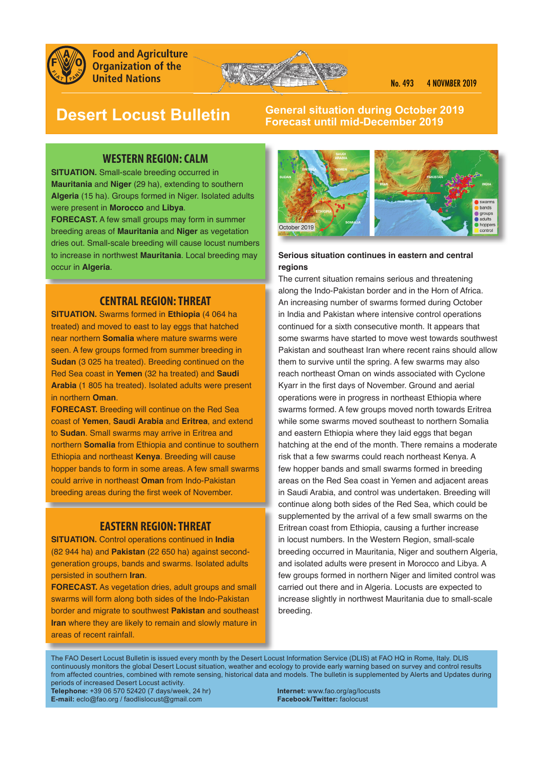

**Food and Agriculture Organization of the United Nations** 



# **Desert Locust Bulletin**

**General situation during October 2019 Forecast until mid-December 2019** 

# **WESTERN REGION: CALM**

**SITUATION.** Small-scale breeding occurred in **Mauritania** and **Niger** (29 ha), extending to southern **Algeria** (15 ha). Groups formed in Niger. Isolated adults were present in **Morocco** and **Libya**.

**FORECAST.** A few small groups may form in summer breeding areas of **Mauritania** and **Niger** as vegetation dries out. Small-scale breeding will cause locust numbers to increase in northwest **Mauritania**. Local breeding may occur in **Algeria**.

# **CENTRAL REGION: THREAT**

**SITUATION.** Swarms formed in **Ethiopia** (4 064 ha treated) and moved to east to lay eggs that hatched near northern **Somalia** where mature swarms were seen. A few groups formed from summer breeding in **Sudan** (3 025 ha treated). Breeding continued on the Red Sea coast in **Yemen** (32 ha treated) and **Saudi Arabia** (1 805 ha treated). Isolated adults were present in northern **Oman**.

**FORECAST.** Breeding will continue on the Red Sea coast of **Yemen**, **Saudi Arabia** and **Eritrea**, and extend to **Sudan**. Small swarms may arrive in Eritrea and northern **Somalia** from Ethiopia and continue to southern Ethiopia and northeast **Kenya**. Breeding will cause hopper bands to form in some areas. A few small swarms could arrive in northeast **Oman** from Indo-Pakistan breeding areas during the first week of November.

# **EASTERN REGION: THREAT**

**SITUATION.** Control operations continued in **India** (82 944 ha) and **Pakistan** (22 650 ha) against secondgeneration groups, bands and swarms. Isolated adults persisted in southern **Iran**.

**FORECAST.** As vegetation dries, adult groups and small swarms will form along both sides of the Indo-Pakistan border and migrate to southwest **Pakistan** and southeast **Iran** where they are likely to remain and slowly mature in areas of recent rainfall.



## **Serious situation continues in eastern and central regions**

The current situation remains serious and threatening along the Indo-Pakistan border and in the Horn of Africa. An increasing number of swarms formed during October in India and Pakistan where intensive control operations continued for a sixth consecutive month. It appears that some swarms have started to move west towards southwest Pakistan and southeast Iran where recent rains should allow them to survive until the spring. A few swarms may also reach northeast Oman on winds associated with Cyclone Kyarr in the first days of November. Ground and aerial operations were in progress in northeast Ethiopia where swarms formed. A few groups moved north towards Eritrea while some swarms moved southeast to northern Somalia and eastern Ethiopia where they laid eggs that began hatching at the end of the month. There remains a moderate risk that a few swarms could reach northeast Kenya. A few hopper bands and small swarms formed in breeding areas on the Red Sea coast in Yemen and adjacent areas in Saudi Arabia, and control was undertaken. Breeding will continue along both sides of the Red Sea, which could be supplemented by the arrival of a few small swarms on the Eritrean coast from Ethiopia, causing a further increase in locust numbers. In the Western Region, small-scale breeding occurred in Mauritania, Niger and southern Algeria, and isolated adults were present in Morocco and Libya. A few groups formed in northern Niger and limited control was carried out there and in Algeria. Locusts are expected to increase slightly in northwest Mauritania due to small-scale breeding.

The FAO Desert Locust Bulletin is issued every month by the Desert Locust Information Service (DLIS) at FAO HQ in Rome, Italy. DLIS continuously monitors the global Desert Locust situation, weather and ecology to provide early warning based on survey and control results from affected countries, combined with remote sensing, historical data and models. The bulletin is supplemented by Alerts and Updates during periods of increased Desert Locust activity.

**Telephone:** +39 06 570 52420 (7 days/week, 24 hr) **Internet:** www.fao.org/ag/locusts **E-mail:** eclo@fao.org / faodlislocust@gmail.com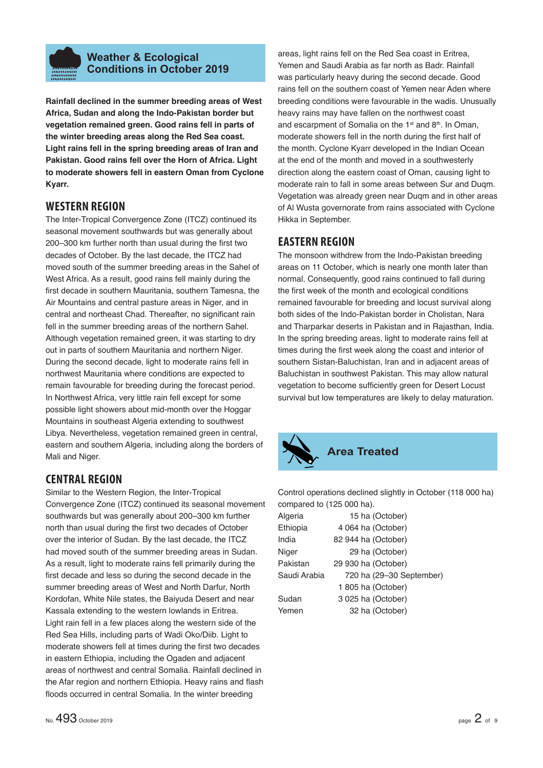

# **Weather & Ecological Conditions in October 2019**

**Rainfall declined in the summer breeding areas of West Africa, Sudan and along the Indo-Pakistan border but vegetation remained green. Good rains fell in parts of the winter breeding areas along the Red Sea coast. Light rains fell in the spring breeding areas of Iran and Pakistan. Good rains fell over the Horn of Africa. Light to moderate showers fell in eastern Oman from Cyclone Kyarr.** 

# **WESTERN REGION**

The Inter-Tropical Convergence Zone (ITCZ) continued its seasonal movement southwards but was generally about 200–300 km further north than usual during the first two decades of October. By the last decade, the ITCZ had moved south of the summer breeding areas in the Sahel of West Africa. As a result, good rains fell mainly during the first decade in southern Mauritania, southern Tamesna, the Air Mountains and central pasture areas in Niger, and in central and northeast Chad. Thereafter, no significant rain fell in the summer breeding areas of the northern Sahel. Although vegetation remained green, it was starting to dry out in parts of southern Mauritania and northern Niger. During the second decade, light to moderate rains fell in northwest Mauritania where conditions are expected to remain favourable for breeding during the forecast period. In Northwest Africa, very little rain fell except for some possible light showers about mid-month over the Hoggar Mountains in southeast Algeria extending to southwest Libya. Nevertheless, vegetation remained green in central, eastern and southern Algeria, including along the borders of Mali and Niger.

# **CENTRAL REGION**

Similar to the Western Region, the Inter-Tropical Convergence Zone (ITCZ) continued its seasonal movement southwards but was generally about 200–300 km further north than usual during the first two decades of October over the interior of Sudan. By the last decade, the ITCZ had moved south of the summer breeding areas in Sudan. As a result, light to moderate rains fell primarily during the first decade and less so during the second decade in the summer breeding areas of West and North Darfur, North Kordofan, White Nile states, the Baiyuda Desert and near Kassala extending to the western lowlands in Eritrea. Light rain fell in a few places along the western side of the Red Sea Hills, including parts of Wadi Oko/Diib. Light to moderate showers fell at times during the first two decades in eastern Ethiopia, including the Ogaden and adjacent areas of northwest and central Somalia. Rainfall declined in the Afar region and northern Ethiopia. Heavy rains and flash floods occurred in central Somalia. In the winter breeding

areas, light rains fell on the Red Sea coast in Eritrea, Yemen and Saudi Arabia as far north as Badr. Rainfall was particularly heavy during the second decade. Good rains fell on the southern coast of Yemen near Aden where breeding conditions were favourable in the wadis. Unusually heavy rains may have fallen on the northwest coast and escarpment of Somalia on the 1<sup>st</sup> and 8<sup>th</sup>. In Oman, moderate showers fell in the north during the first half of the month. Cyclone Kyarr developed in the Indian Ocean at the end of the month and moved in a southwesterly direction along the eastern coast of Oman, causing light to moderate rain to fall in some areas between Sur and Duqm. Vegetation was already green near Duqm and in other areas of Al Wusta governorate from rains associated with Cyclone Hikka in September.

# **EASTERN REGION**

The monsoon withdrew from the Indo-Pakistan breeding areas on 11 October, which is nearly one month later than normal. Consequently, good rains continued to fall during the first week of the month and ecological conditions remained favourable for breeding and locust survival along both sides of the Indo-Pakistan border in Cholistan, Nara and Tharparkar deserts in Pakistan and in Rajasthan, India. In the spring breeding areas, light to moderate rains fell at times during the first week along the coast and interior of southern Sistan-Baluchistan, Iran and in adjacent areas of Baluchistan in southwest Pakistan. This may allow natural vegetation to become sufficiently green for Desert Locust survival but low temperatures are likely to delay maturation.



Control operations declined slightly in October (118 000 ha) compared to (125 000 ha).

| Algeria      | 15 ha (October)          |
|--------------|--------------------------|
| Ethiopia     | 4 064 ha (October)       |
| India        | 82 944 ha (October)      |
| Niger        | 29 ha (October)          |
| Pakistan     | 29 930 ha (October)      |
| Saudi Arabia | 720 ha (29-30 September) |
|              | 1805 ha (October)        |
| Sudan        | 3 025 ha (October)       |
| Yemen        | 32 ha (October)          |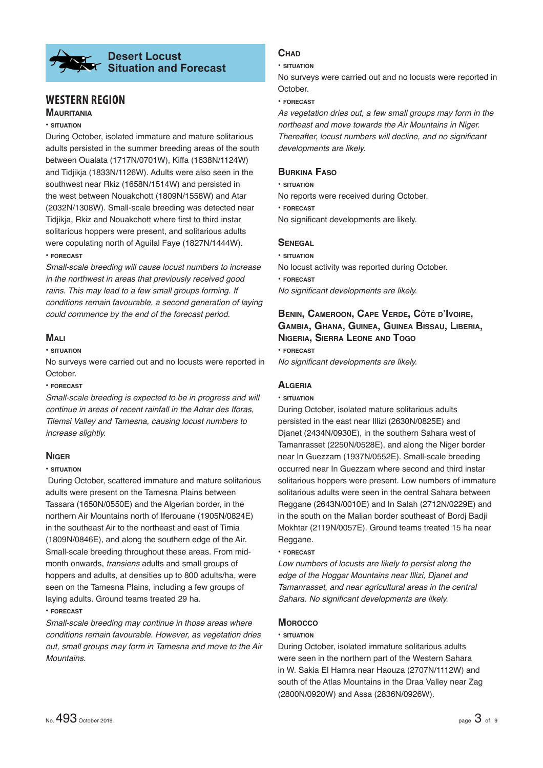# **Desert Locust Situation and Forecast**

# **WESTERN REGION**

# **MAURITANIA**

#### **• SITUATION**

During October, isolated immature and mature solitarious adults persisted in the summer breeding areas of the south between Oualata (1717N/0701W), Kiffa (1638N/1124W) and Tidjikja (1833N/1126W). Adults were also seen in the southwest near Rkiz (1658N/1514W) and persisted in the west between Nouakchott (1809N/1558W) and Atar (2032N/1308W). Small-scale breeding was detected near Tidiikia. Rkiz and Nouakchott where first to third instar solitarious hoppers were present, and solitarious adults were copulating north of Aguilal Faye (1827N/1444W). **• FORECAST**

*Small-scale breeding will cause locust numbers to increase in the northwest in areas that previously received good rains. This may lead to a few small groups forming. If conditions remain favourable, a second generation of laying could commence by the end of the forecast period.* 

## **MALI**

#### **• SITUATION**

No surveys were carried out and no locusts were reported in October.

**• FORECAST**

*Small-scale breeding is expected to be in progress and will continue in areas of recent rainfall in the Adrar des Iforas, Tilemsi Valley and Tamesna, causing locust numbers to increase slightly.*

# **NIGER**

### **• SITUATION**

 During October, scattered immature and mature solitarious adults were present on the Tamesna Plains between Tassara (1650N/0550E) and the Algerian border, in the northern Air Mountains north of Iferouane (1905N/0824E) in the southeast Air to the northeast and east of Timia (1809N/0846E), and along the southern edge of the Air. Small-scale breeding throughout these areas. From midmonth onwards, *transiens* adults and small groups of hoppers and adults, at densities up to 800 adults/ha, were seen on the Tamesna Plains, including a few groups of laying adults. Ground teams treated 29 ha.

### **• FORECAST**

*Small-scale breeding may continue in those areas where conditions remain favourable. However, as vegetation dries out, small groups may form in Tamesna and move to the Air Mountains.* 

# **CHAD**

**• SITUATION**

No surveys were carried out and no locusts were reported in October.

**• FORECAST**

*As vegetation dries out, a few small groups may form in the northeast and move towards the Air Mountains in Niger. Thereafter, locust numbers will decline, and no significant developments are likely.*

# **BURKINA FASO**

**• SITUATION** No reports were received during October. **• FORECAST** No significant developments are likely.

# **SENEGAL**

**• SITUATION** No locust activity was reported during October. **• FORECAST** *No significant developments are likely.* 

# **BENIN, CAMEROON, CAPE VERDE, CÔTE D'IVOIRE, GAMBIA, GHANA, GUINEA, GUINEA BISSAU, LIBERIA, NIGERIA, SIERRA LEONE AND TOGO**

**• FORECAST**

*No significant developments are likely.* 

# **ALGERIA**

### **• SITUATION**

During October, isolated mature solitarious adults persisted in the east near Illizi (2630N/0825E) and Djanet (2434N/0930E), in the southern Sahara west of Tamanrasset (2250N/0528E), and along the Niger border near In Guezzam (1937N/0552E). Small-scale breeding occurred near In Guezzam where second and third instar solitarious hoppers were present. Low numbers of immature solitarious adults were seen in the central Sahara between Reggane (2643N/0010E) and In Salah (2712N/0229E) and in the south on the Malian border southeast of Bordj Badji Mokhtar (2119N/0057E). Ground teams treated 15 ha near Reggane.

**• FORECAST**

*Low numbers of locusts are likely to persist along the edge of the Hoggar Mountains near Illizi, Djanet and Tamanrasset, and near agricultural areas in the central*  Sahara. No significant developments are likely.

# **MOROCCO**

### **• SITUATION**

During October, isolated immature solitarious adults were seen in the northern part of the Western Sahara in W. Sakia El Hamra near Haouza (2707N/1112W) and south of the Atlas Mountains in the Draa Valley near Zag (2800N/0920W) and Assa (2836N/0926W).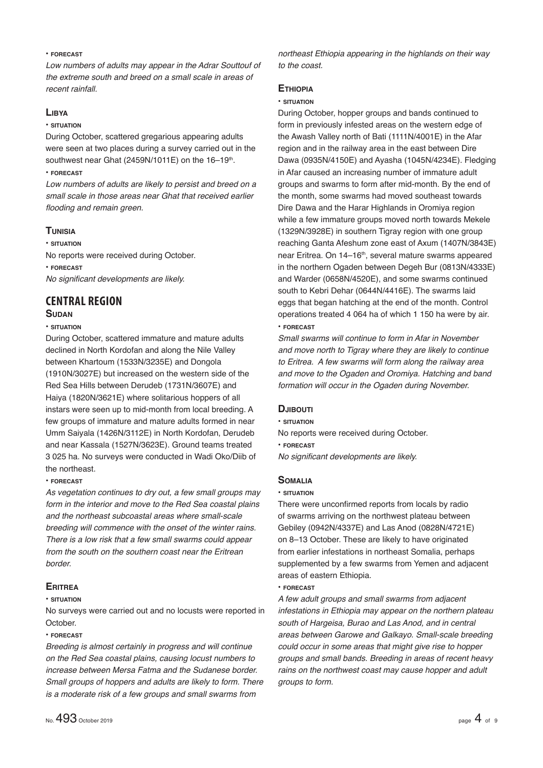### **• FORECAST**

*Low numbers of adults may appear in the Adrar Souttouf of the extreme south and breed on a small scale in areas of recent rainfall.*

## **LIBYA**

#### **• SITUATION**

During October, scattered gregarious appearing adults were seen at two places during a survey carried out in the southwest near Ghat (2459N/1011E) on the  $16-19$ th.

## **• FORECAST**

*Low numbers of adults are likely to persist and breed on a small scale in those areas near Ghat that received earlier fl ooding and remain green.*

# **TUNISIA**

**• SITUATION**

No reports were received during October.

#### **• FORECAST**

*No significant developments are likely.* 

# **CENTRAL REGION**

### **SUDAN**

### **• SITUATION**

During October, scattered immature and mature adults declined in North Kordofan and along the Nile Valley between Khartoum (1533N/3235E) and Dongola (1910N/3027E) but increased on the western side of the Red Sea Hills between Derudeb (1731N/3607E) and Haiya (1820N/3621E) where solitarious hoppers of all instars were seen up to mid-month from local breeding. A few groups of immature and mature adults formed in near Umm Saiyala (1426N/3112E) in North Kordofan, Derudeb and near Kassala (1527N/3623E). Ground teams treated 3 025 ha. No surveys were conducted in Wadi Oko/Diib of the northeast.

### **• FORECAST**

*As vegetation continues to dry out, a few small groups may form in the interior and move to the Red Sea coastal plains and the northeast subcoastal areas where small-scale breeding will commence with the onset of the winter rains. There is a low risk that a few small swarms could appear from the south on the southern coast near the Eritrean border.*

# **ERITREA**

### **• SITUATION**

No surveys were carried out and no locusts were reported in October.

### **• FORECAST**

*Breeding is almost certainly in progress and will continue on the Red Sea coastal plains, causing locust numbers to increase between Mersa Fatma and the Sudanese border. Small groups of hoppers and adults are likely to form. There is a moderate risk of a few groups and small swarms from* 

*northeast Ethiopia appearing in the highlands on their way to the coast.*

# **ETHIOPIA**

### **• SITUATION**

During October, hopper groups and bands continued to form in previously infested areas on the western edge of the Awash Valley north of Bati (1111N/4001E) in the Afar region and in the railway area in the east between Dire Dawa (0935N/4150E) and Ayasha (1045N/4234E). Fledging in Afar caused an increasing number of immature adult groups and swarms to form after mid-month. By the end of the month, some swarms had moved southeast towards Dire Dawa and the Harar Highlands in Oromiya region while a few immature groups moved north towards Mekele (1329N/3928E) in southern Tigray region with one group reaching Ganta Afeshum zone east of Axum (1407N/3843E) near Eritrea. On 14–16<sup>th</sup>, several mature swarms appeared in the northern Ogaden between Degeh Bur (0813N/4333E) and Warder (0658N/4520E), and some swarms continued south to Kebri Dehar (0644N/4416E). The swarms laid eggs that began hatching at the end of the month. Control operations treated 4 064 ha of which 1 150 ha were by air. **• FORECAST**

*Small swarms will continue to form in Afar in November and move north to Tigray where they are likely to continue to Eritrea. A few swarms will form along the railway area and move to the Ogaden and Oromiya. Hatching and band formation will occur in the Ogaden during November.*

# **DJIBOUTI**

#### **• SITUATION**

No reports were received during October.

### **• FORECAST**

*No significant developments are likely.* 

# **SOMALIA**

### **• SITUATION**

There were unconfirmed reports from locals by radio of swarms arriving on the northwest plateau between Gebiley (0942N/4337E) and Las Anod (0828N/4721E) on 8–13 October. These are likely to have originated from earlier infestations in northeast Somalia, perhaps supplemented by a few swarms from Yemen and adjacent areas of eastern Ethiopia.

### **• FORECAST**

*A few adult groups and small swarms from adjacent infestations in Ethiopia may appear on the northern plateau south of Hargeisa, Burao and Las Anod, and in central areas between Garowe and Galkayo. Small-scale breeding could occur in some areas that might give rise to hopper groups and small bands. Breeding in areas of recent heavy rains on the northwest coast may cause hopper and adult groups to form.*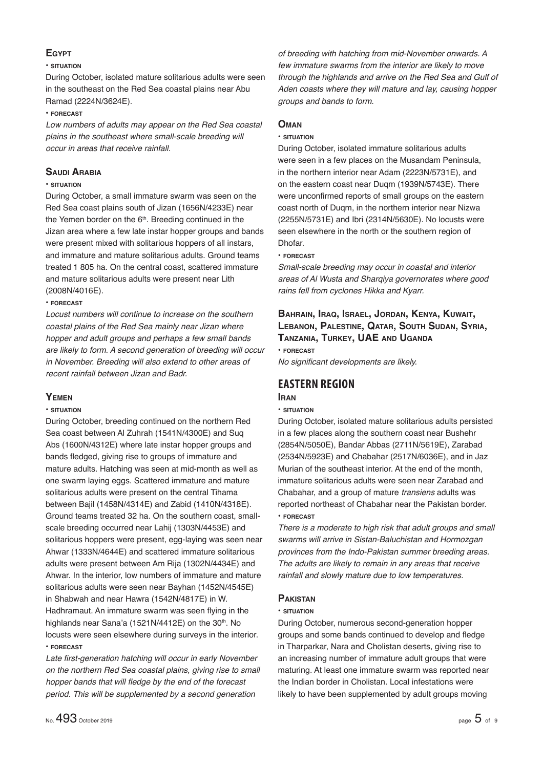# **EGYPT**

### **• SITUATION**

During October, isolated mature solitarious adults were seen in the southeast on the Red Sea coastal plains near Abu Ramad (2224N/3624E).

### **• FORECAST**

*Low numbers of adults may appear on the Red Sea coastal plains in the southeast where small-scale breeding will occur in areas that receive rainfall.*

# **SAUDI ARABIA**

# **• SITUATION**

During October, a small immature swarm was seen on the Red Sea coast plains south of Jizan (1656N/4233E) near the Yemen border on the 6<sup>th</sup>. Breeding continued in the Jizan area where a few late instar hopper groups and bands were present mixed with solitarious hoppers of all instars, and immature and mature solitarious adults. Ground teams treated 1 805 ha. On the central coast, scattered immature and mature solitarious adults were present near Lith (2008N/4016E).

### **• FORECAST**

*Locust numbers will continue to increase on the southern coastal plains of the Red Sea mainly near Jizan where hopper and adult groups and perhaps a few small bands are likely to form. A second generation of breeding will occur in November. Breeding will also extend to other areas of recent rainfall between Jizan and Badr.*

# **YEMEN**

### **• SITUATION**

During October, breeding continued on the northern Red Sea coast between Al Zuhrah (1541N/4300E) and Suq Abs (1600N/4312E) where late instar hopper groups and bands fledged, giving rise to groups of immature and mature adults. Hatching was seen at mid-month as well as one swarm laying eggs. Scattered immature and mature solitarious adults were present on the central Tihama between Bajil (1458N/4314E) and Zabid (1410N/4318E). Ground teams treated 32 ha. On the southern coast, smallscale breeding occurred near Lahij (1303N/4453E) and solitarious hoppers were present, egg-laying was seen near Ahwar (1333N/4644E) and scattered immature solitarious adults were present between Am Rija (1302N/4434E) and Ahwar. In the interior, low numbers of immature and mature solitarious adults were seen near Bayhan (1452N/4545E) in Shabwah and near Hawra (1542N/4817E) in W. Hadhramaut. An immature swarm was seen flying in the highlands near Sana'a (1521N/4412E) on the 30<sup>th</sup>. No locusts were seen elsewhere during surveys in the interior. **• FORECAST**

Late first-generation hatching will occur in early November *on the northern Red Sea coastal plains, giving rise to small*  hopper bands that will fledge by the end of the forecast *period. This will be supplemented by a second generation* 

*of breeding with hatching from mid-November onwards. A few immature swarms from the interior are likely to move through the highlands and arrive on the Red Sea and Gulf of Aden coasts where they will mature and lay, causing hopper groups and bands to form.* 

## **OMAN**

#### **• SITUATION**

During October, isolated immature solitarious adults were seen in a few places on the Musandam Peninsula, in the northern interior near Adam (2223N/5731E), and on the eastern coast near Duqm (1939N/5743E). There were unconfirmed reports of small groups on the eastern coast north of Duqm, in the northern interior near Nizwa (2255N/5731E) and Ibri (2314N/5630E). No locusts were seen elsewhere in the north or the southern region of Dhofar.

# **• FORECAST**

*Small-scale breeding may occur in coastal and interior areas of Al Wusta and Sharqiya governorates where good rains fell from cyclones Hikka and Kyarr.*

# **BAHRAIN, IRAQ, ISRAEL, JORDAN, KENYA, KUWAIT, LEBANON, PALESTINE, QATAR, SOUTH SUDAN, SYRIA, TANZANIA, TURKEY, UAE AND UGANDA • FORECAST**

*No significant developments are likely.* 

# **EASTERN REGION**

# **IRAN**

# **• SITUATION**

During October, isolated mature solitarious adults persisted in a few places along the southern coast near Bushehr (2854N/5050E), Bandar Abbas (2711N/5619E), Zarabad (2534N/5923E) and Chabahar (2517N/6036E), and in Jaz Murian of the southeast interior. At the end of the month, immature solitarious adults were seen near Zarabad and Chabahar, and a group of mature *transiens* adults was reported northeast of Chabahar near the Pakistan border. **• FORECAST**

*There is a moderate to high risk that adult groups and small swarms will arrive in Sistan-Baluchistan and Hormozgan provinces from the Indo-Pakistan summer breeding areas. The adults are likely to remain in any areas that receive rainfall and slowly mature due to low temperatures.* 

# **PAKISTAN**

### **• SITUATION**

During October, numerous second-generation hopper groups and some bands continued to develop and fledge in Tharparkar, Nara and Cholistan deserts, giving rise to an increasing number of immature adult groups that were maturing. At least one immature swarm was reported near the Indian border in Cholistan. Local infestations were likely to have been supplemented by adult groups moving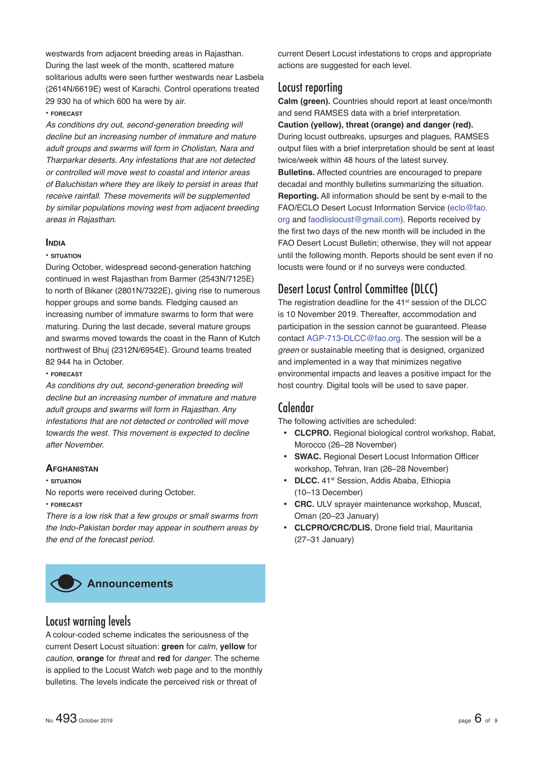westwards from adjacent breeding areas in Rajasthan. During the last week of the month, scattered mature solitarious adults were seen further westwards near Lasbela (2614N/6619E) west of Karachi. Control operations treated 29 930 ha of which 600 ha were by air.

#### **• FORECAST**

*As conditions dry out, second-generation breeding will decline but an increasing number of immature and mature adult groups and swarms will form in Cholistan, Nara and Tharparkar deserts. Any infestations that are not detected or controlled will move west to coastal and interior areas of Baluchistan where they are likely to persist in areas that receive rainfall. These movements will be supplemented by similar populations moving west from adjacent breeding areas in Rajasthan.*

### **INDIA**

#### **• SITUATION**

During October, widespread second-generation hatching continued in west Rajasthan from Barmer (2543N/7125E) to north of Bikaner (2801N/7322E), giving rise to numerous hopper groups and some bands. Fledging caused an increasing number of immature swarms to form that were maturing. During the last decade, several mature groups and swarms moved towards the coast in the Rann of Kutch northwest of Bhuj (2312N/6954E). Ground teams treated 82 944 ha in October.

## **• FORECAST**

*As conditions dry out, second-generation breeding will decline but an increasing number of immature and mature adult groups and swarms will form in Rajasthan. Any infestations that are not detected or controlled will move towards the west. This movement is expected to decline after November.*

### **AFGHANISTAN**

**• SITUATION**

No reports were received during October.

**• FORECAST**

*There is a low risk that a few groups or small swarms from the Indo-Pakistan border may appear in southern areas by the end of the forecast period.*



# Locust warning levels

A colour-coded scheme indicates the seriousness of the current Desert Locust situation: **green** for *calm*, **yellow** for *caution*, **orange** for *threat* and **red** for *danger*. The scheme is applied to the Locust Watch web page and to the monthly bulletins. The levels indicate the perceived risk or threat of

current Desert Locust infestations to crops and appropriate actions are suggested for each level.

# Locust reporting

**Calm (green).** Countries should report at least once/month and send RAMSES data with a brief interpretation.

**Caution (yellow), threat (orange) and danger (red).** During locust outbreaks, upsurges and plagues, RAMSES output files with a brief interpretation should be sent at least twice/week within 48 hours of the latest survey. **Bulletins.** Affected countries are encouraged to prepare decadal and monthly bulletins summarizing the situation. **Reporting.** All information should be sent by e-mail to the FAO/ECLO Desert Locust Information Service (eclo@fao. org and faodlislocust@gmail.com). Reports received by the first two days of the new month will be included in the FAO Desert Locust Bulletin; otherwise, they will not appear until the following month. Reports should be sent even if no locusts were found or if no surveys were conducted.

# Desert Locust Control Committee (DLCC)

The registration deadline for the 41<sup>st</sup> session of the DLCC is 10 November 2019. Thereafter, accommodation and participation in the session cannot be guaranteed. Please contact AGP-713-DLCC@fao.org. The session will be a *green* or sustainable meeting that is designed, organized and implemented in a way that minimizes negative environmental impacts and leaves a positive impact for the host country. Digital tools will be used to save paper.

# Calendar

The following activities are scheduled:

- **CLCPRO.** Regional biological control workshop, Rabat, Morocco (26–28 November)
- SWAC. Regional Desert Locust Information Officer workshop, Tehran, Iran (26–28 November)
- DLCC. 41<sup>st</sup> Session, Addis Ababa, Ethiopia (10–13 December)
- **CRC.** ULV sprayer maintenance workshop, Muscat, Oman (20–23 January)
- **CLCPRO/CRC/DLIS.** Drone field trial, Mauritania (27–31 January)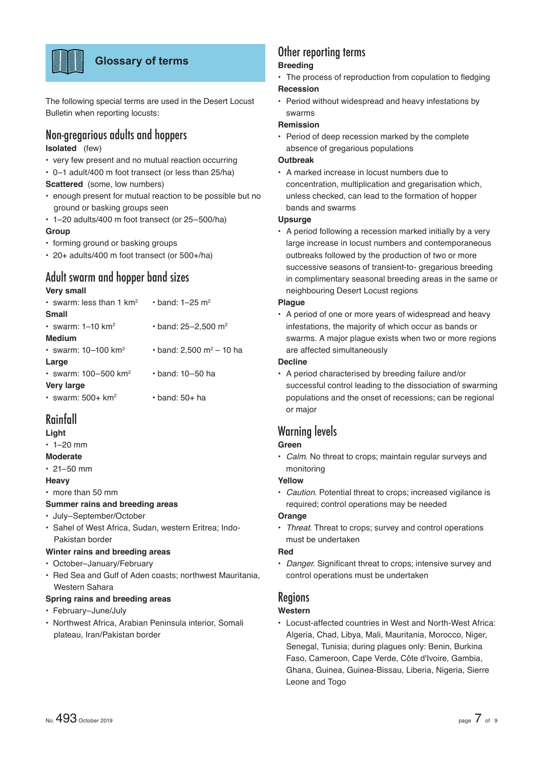

# **Glossary of terms**

The following special terms are used in the Desert Locust Bulletin when reporting locusts:

# Non-gregarious adults and hoppers

# **Isolated** (few)

- very few present and no mutual reaction occurring
- 0–1 adult/400 m foot transect (or less than 25/ha) **Scattered** (some, low numbers)
- enough present for mutual reaction to be possible but no ground or basking groups seen
- 1–20 adults/400 m foot transect (or 25–500/ha)

## **Group**

- forming ground or basking groups
- 20+ adults/400 m foot transect (or 500+/ha)

# Adult swarm and hopper band sizes

### **Very small**

| $\cdot$ swarm: less than 1 km <sup>2</sup> | $\cdot$ hand: 1–25 m <sup>2</sup>     |
|--------------------------------------------|---------------------------------------|
| <b>Small</b>                               |                                       |
| • swarm: $1-10$ km <sup>2</sup>            | $\cdot$ band: 25-2,500 m <sup>2</sup> |
| Medium                                     |                                       |
| • swarm: $10 - 100$ km <sup>2</sup>        | • band: 2,500 m <sup>2</sup> – 10 ha  |
| Large                                      |                                       |
| • swarm: $100 - 500$ km <sup>2</sup>       | $\cdot$ band: 10–50 ha                |
| <b>Very large</b>                          |                                       |
| $\cdot$ swarm: 500+ km <sup>2</sup>        | $\cdot$ band: 50+ ha                  |

# Rainfall

# **Light**

 $\cdot$  1–20 mm

# **Moderate**

 $\cdot$  21–50 mm

### **Heavy**

• more than 50 mm

# **Summer rains and breeding areas**

- July–September/October
- Sahel of West Africa, Sudan, western Eritrea; Indo-Pakistan border

### **Winter rains and breeding areas**

- October–January/February
- Red Sea and Gulf of Aden coasts; northwest Mauritania, Western Sahara

### **Spring rains and breeding areas**

- February–June/July
- Northwest Africa, Arabian Peninsula interior, Somali plateau, Iran/Pakistan border

# Other reporting terms

# **Breeding**

- The process of reproduction from copulation to fledging **Recession**
- Period without widespread and heavy infestations by swarms

### **Remission**

• Period of deep recession marked by the complete absence of gregarious populations

### **Outbreak**

• A marked increase in locust numbers due to concentration, multiplication and gregarisation which, unless checked, can lead to the formation of hopper bands and swarms

# **Upsurge**

• A period following a recession marked initially by a very large increase in locust numbers and contemporaneous outbreaks followed by the production of two or more successive seasons of transient-to- gregarious breeding in complimentary seasonal breeding areas in the same or neighbouring Desert Locust regions

## **Plague**

• A period of one or more years of widespread and heavy infestations, the majority of which occur as bands or swarms. A major plague exists when two or more regions are affected simultaneously

### **Decline**

• A period characterised by breeding failure and/or successful control leading to the dissociation of swarming populations and the onset of recessions; can be regional or major

# Warning levels

# **Green**

• *Calm*. No threat to crops; maintain regular surveys and monitoring

# **Yellow**

• *Caution*. Potential threat to crops; increased vigilance is required; control operations may be needed

## **Orange**

• *Threat*. Threat to crops; survey and control operations must be undertaken

### **Red**

• *Danger*. Significant threat to crops; intensive survey and control operations must be undertaken

# **Regions**

# **Western**

• Locust-affected countries in West and North-West Africa: Algeria, Chad, Libya, Mali, Mauritania, Morocco, Niger, Senegal, Tunisia; during plagues only: Benin, Burkina Faso, Cameroon, Cape Verde, Côte d'Ivoire, Gambia, Ghana, Guinea, Guinea-Bissau, Liberia, Nigeria, Sierre Leone and Togo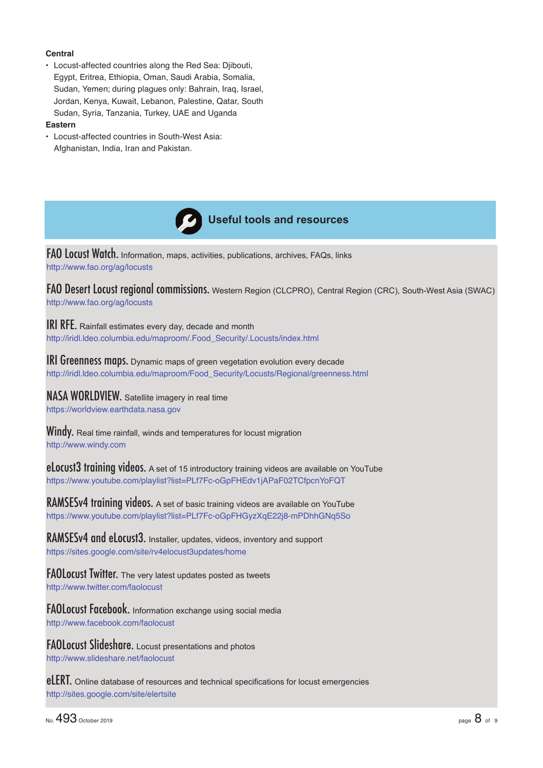## **Central**

• Locust-affected countries along the Red Sea: Djibouti, Egypt, Eritrea, Ethiopia, Oman, Saudi Arabia, Somalia, Sudan, Yemen; during plagues only: Bahrain, Iraq, Israel, Jordan, Kenya, Kuwait, Lebanon, Palestine, Qatar, South Sudan, Syria, Tanzania, Turkey, UAE and Uganda

### **Eastern**

• Locust-affected countries in South-West Asia: Afghanistan, India, Iran and Pakistan.



FAO Locust Watch. Information, maps, activities, publications, archives, FAQs, links http://www.fao.org/ag/locusts

FAO Desert Locust regional commissions. Western Region (CLCPRO), Central Region (CRC), South-West Asia (SWAC) http://www.fao.org/ag/locusts

**IRI RFE.** Rainfall estimates every day, decade and month http://iridl.ldeo.columbia.edu/maproom/.Food\_Security/.Locusts/index.html

**IRI Greenness maps.** Dynamic maps of green vegetation evolution every decade http://iridl.ldeo.columbia.edu/maproom/Food\_Security/Locusts/Regional/greenness.html

NASA WORLDVIEW. Satellite imagery in real time https://worldview.earthdata.nasa.gov

Windy. Real time rainfall, winds and temperatures for locust migration http://www.windy.com

eLocust<sup>3</sup> training videos. A set of 15 introductory training videos are available on YouTube https://www.youtube.com/playlist?list=PLf7Fc-oGpFHEdv1jAPaF02TCfpcnYoFQT

RAMSESv4 training videos. A set of basic training videos are available on YouTube https://www.youtube.com/playlist?list=PLf7Fc-oGpFHGyzXqE22j8-mPDhhGNq5So

RAMSESv4 and eLocust3. Installer, updates, videos, inventory and support https://sites.google.com/site/rv4elocust3updates/home

FAOLocust Twitter. The very latest updates posted as tweets http://www.twitter.com/faolocust

FAOLocust Facebook. Information exchange using social media http://www.facebook.com/faolocust

FAOLocust Slideshare. Locust presentations and photos http://www.slideshare.net/faolocust

eLERT. Online database of resources and technical specifications for locust emergencies http://sites.google.com/site/elertsite